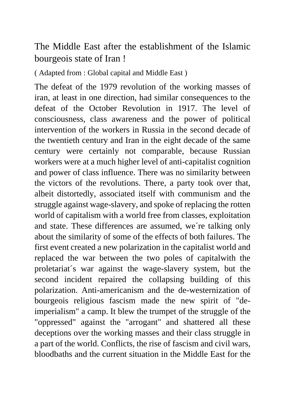The Middle East after the establishment of the Islamic bourgeois state of Iran !

( Adapted from : Global capital and Middle East )

The defeat of the 1979 revolution of the working masses of iran, at least in one direction, had similar consequences to the defeat of the October Revolution in 1917. The level of consciousness, class awareness and the power of political intervention of the workers in Russia in the second decade of the twentieth century and Iran in the eight decade of the same century were certainly not comparable, because Russian workers were at a much higher level of anti-capitalist cognition and power of class influence. There was no similarity between the victors of the revolutions. There, a party took over that, albeit distortedly, associated itself with communism and the struggle against wage-slavery, and spoke of replacing the rotten world of capitalism with a world free from classes, exploitation and state. These differences are assumed, we´re talking only about the similarity of some of the effects of both failures. The first event created a new polarization in the capitalist world and replaced the war between the two poles of capitalwith the proletariat´s war against the wage-slavery system, but the second incident repaired the collapsing building of this polarization. Anti-americanism and the de-westernization of bourgeois religious fascism made the new spirit of "deimperialism" a camp. It blew the trumpet of the struggle of the "oppressed" against the "arrogant" and shattered all these deceptions over the working masses and their class struggle in a part of the world. Conflicts, the rise of fascism and civil wars, bloodbaths and the current situation in the Middle East for the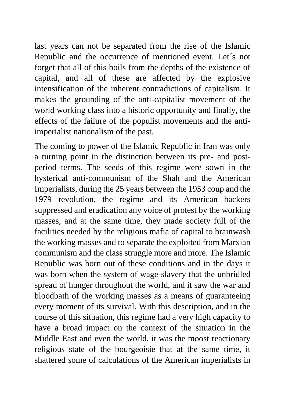last years can not be separated from the rise of the Islamic Republic and the occurrence of mentioned event. Let´s not forget that all of this boils from the depths of the existence of capital, and all of these are affected by the explosive intensification of the inherent contradictions of capitalism. It makes the grounding of the anti-capitalist movement of the world working class into a historic opportunity and finally, the effects of the failure of the populist movements and the antiimperialist nationalism of the past.

The coming to power of the Islamic Republic in Iran was only a turning point in the distinction between its pre- and postperiod terms. The seeds of this regime were sown in the hysterical anti-communism of the Shah and the American Imperialists, during the 25 years between the 1953 coup and the 1979 revolution, the regime and its American backers suppressed and eradication any voice of protest by the working masses, and at the same time, they made society full of the facilities needed by the religious mafia of capital to brainwash the working masses and to separate the exploited from Marxian communism and the class struggle more and more. The Islamic Republic was born out of these conditions and in the days it was born when the system of wage-slavery that the unbridled spread of hunger throughout the world, and it saw the war and bloodbath of the working masses as a means of guaranteeing every moment of its survival. With this description, and in the course of this situation, this regime had a very high capacity to have a broad impact on the context of the situation in the Middle East and even the world. it was the moost reactionary religious state of the bourgeoisie that at the same time, it shattered some of calculations of the American imperialists in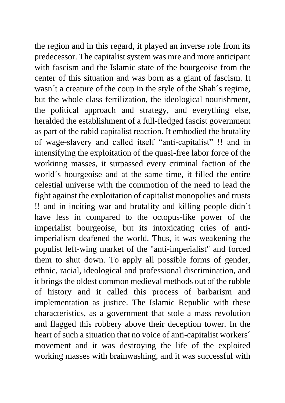the region and in this regard, it played an inverse role from its predecessor. The capitalist system was mre and more anticipant with fascism and the Islamic state of the bourgeoise from the center of this situation and was born as a giant of fascism. It wasn´t a creature of the coup in the style of the Shah´s regime, but the whole class fertilization, the ideological nourishment, the political approach and strategy, and everything else, heralded the establishment of a full-fledged fascist government as part of the rabid capitalist reaction. It embodied the brutality of wage-slavery and called itself "anti-capitalist" !! and in intensifying the exploitation of the quasi-free labor force of the workinng masses, it surpassed every criminal faction of the world´s bourgeoise and at the same time, it filled the entire celestial universe with the commotion of the need to lead the fight against the exploitation of capitalist monopolies and trusts !! and in inciting war and brutality and killing people didn´t have less in compared to the octopus-like power of the imperialist bourgeoise, but its intoxicating cries of antiimperialism deafened the world. Thus, it was weakening the populist left-wing market of the "anti-imperialist" and forced them to shut down. To apply all possible forms of gender, ethnic, racial, ideological and professional discrimination, and it brings the oldest common medieval methods out of the rubble of history and it called this process of barbarism and implementation as justice. The Islamic Republic with these characteristics, as a government that stole a mass revolution and flagged this robbery above their deception tower. In the heart of such a situation that no voice of anti-capitalist workers<sup>\*</sup> movement and it was destroying the life of the exploited working masses with brainwashing, and it was successful with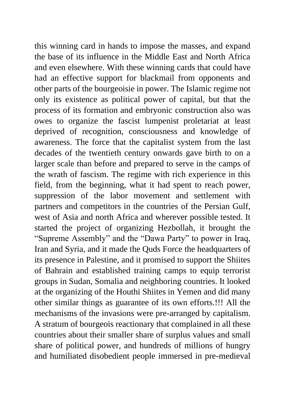this winning card in hands to impose the masses, and expand the base of its influence in the Middle East and North Africa and even elsewhere. With these winning cards that could have had an effective support for blackmail from opponents and other parts of the bourgeoisie in power. The Islamic regime not only its existence as political power of capital, but that the process of its formation and embryonic construction also was owes to organize the fascist lumpenist proletariat at least deprived of recognition, consciousness and knowledge of awareness. The force that the capitalist system from the last decades of the twentieth century onwards gave birth to on a larger scale than before and prepared to serve in the camps of the wrath of fascism. The regime with rich experience in this field, from the beginning, what it had spent to reach power, suppression of the labor movement and settlement with partners and competitors in the countries of the Persian Gulf, west of Asia and north Africa and wherever possible tested. It started the project of organizing Hezbollah, it brought the "Supreme Assembly" and the "Dawa Party" to power in Iraq, Iran and Syria, and it made the Quds Force the headquarters of its presence in Palestine, and it promised to support the Shiites of Bahrain and established training camps to equip terrorist groups in Sudan, Somalia and neighboring countries. It looked at the organizing of the Houthi Shiites in Yemen and did many other similar things as guarantee of its own efforts.!!! All the mechanisms of the invasions were pre-arranged by capitalism. A stratum of bourgeois reactionary that complained in all these countries about their smaller share of surplus values and small share of political power, and hundreds of millions of hungry and humiliated disobedient people immersed in pre-medieval